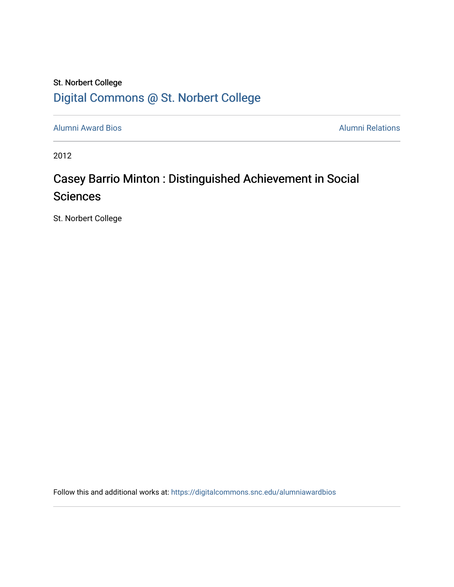## St. Norbert College [Digital Commons @ St. Norbert College](https://digitalcommons.snc.edu/)

[Alumni Award Bios](https://digitalcommons.snc.edu/alumniawardbios) **Alumni Relations** Alumni Relations

2012

# Casey Barrio Minton : Distinguished Achievement in Social **Sciences**

St. Norbert College

Follow this and additional works at: [https://digitalcommons.snc.edu/alumniawardbios](https://digitalcommons.snc.edu/alumniawardbios?utm_source=digitalcommons.snc.edu%2Falumniawardbios%2F56&utm_medium=PDF&utm_campaign=PDFCoverPages)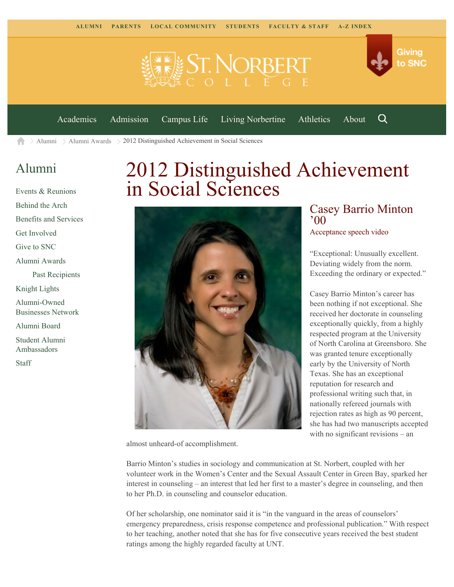



[Academics](https://www.snc.edu/academics) [Admission](https://www.snc.edu/admission) [Campus Life](https://www.snc.edu/campuslife) [Living Norbertine](https://www.snc.edu/livingnorbertine) [Athletics](https://www.snc.edu/athletics) [About](https://www.snc.edu/about)

Q

 $\geq$  [Alumni](https://www.snc.edu/alumni/)  $\geq$  [Alumni Awards](https://www.snc.edu/alumni/awards/)  $\geq$  2012 Distinguished Achievement in Social Sciences A

### [Alumni](https://www.snc.edu/alumni/index.html)

[Events & Reunions](https://www.snc.edu/alumni/event/index.html) [Behind the Arch](https://www.snc.edu/alumni/event/behindthearch/) [Benefits and Services](https://www.snc.edu/alumni/benefits.html) [Get Involved](https://www.snc.edu/alumni/getinvolved.html) [Give to SNC](http://giving.snc.edu/) [Alumni Awards](https://www.snc.edu/alumni/awards/index.html) [Past Recipients](https://www.snc.edu/alumni/awards/recipients.html) [Knight Lights](https://www.snc.edu/alumni/knightlights/index.html) [Alumni-Owned](https://www.snc.edu/alumni/directory/index.html) [Businesses Network](https://www.snc.edu/alumni/directory/index.html) [Alumni Board](https://www.snc.edu/alumni/alumniboard.html) [Student Alumni](https://www.snc.edu/alumni/saa.html) [Ambassadors](https://www.snc.edu/alumni/saa.html) [Staff](https://www.snc.edu/alumni/contactus.html)

# 2012 Distinguished Achievement in Social Sciences



almost unheard-of accomplishment.

#### Casey Barrio Minton '00 [Acceptance speech video](http://www.youtube.com/watch?v=umTjzCdNP7I)

"Exceptional: Unusually excellent. Deviating widely from the norm. Exceeding the ordinary or expected."

Casey Barrio Minton's career has been nothing if not exceptional. She received her doctorate in counseling exceptionally quickly, from a highly respected program at the University of North Carolina at Greensboro. She was granted tenure exceptionally early by the University of North Texas. She has an exceptional reputation for research and professional writing such that, in nationally refereed journals with rejection rates as high as 90 percent, she has had two manuscripts accepted with no significant revisions – an

Barrio Minton's studies in sociology and communication at St. Norbert, coupled with her volunteer work in the Women's Center and the Sexual Assault Center in Green Bay, sparked her interest in counseling – an interest that led her first to a master's degree in counseling, and then to her Ph.D. in counseling and counselor education.

Of her scholarship, one nominator said it is "in the vanguard in the areas of counselors' emergency preparedness, crisis response competence and professional publication." With respect to her teaching, another noted that she has for five consecutive years received the best student ratings among the highly regarded faculty at UNT.